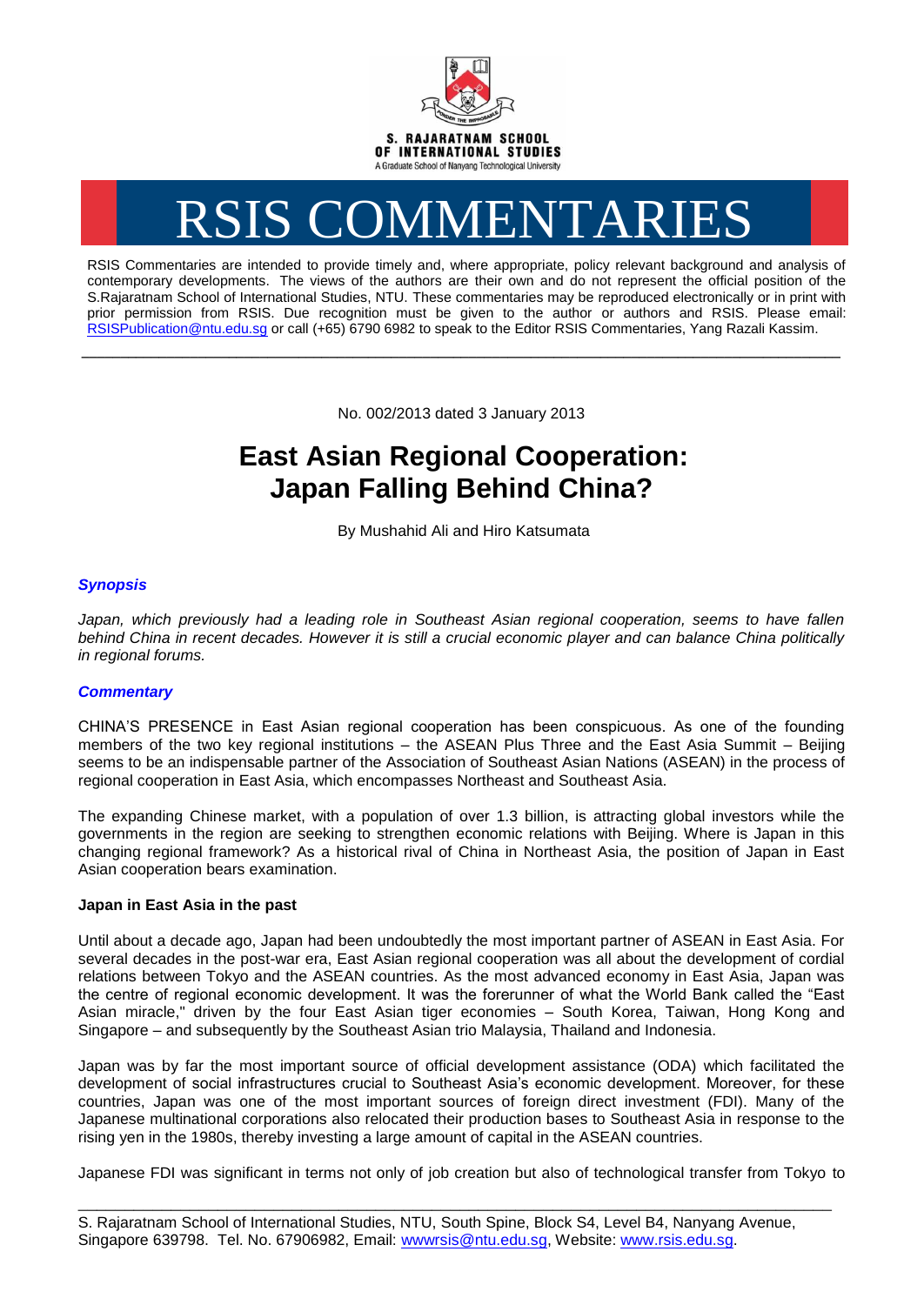

# RSIS COMMENTARIES

RSIS Commentaries are intended to provide timely and, where appropriate, policy relevant background and analysis of contemporary developments. The views of the authors are their own and do not represent the official position of the S.Rajaratnam School of International Studies, NTU. These commentaries may be reproduced electronically or in print with prior permission from RSIS. Due recognition must be given to the author or authors and RSIS. Please email: [RSISPublication@ntu.edu.sg](mailto:RSISPublication@ntu.edu.sg) or call (+65) 6790 6982 to speak to the Editor RSIS Commentaries, Yang Razali Kassim.

No. 002/2013 dated 3 January 2013

**\_\_\_\_\_\_\_\_\_\_\_\_\_\_\_\_\_\_\_\_\_\_\_\_\_\_\_\_\_\_\_\_\_\_\_\_\_\_\_\_\_\_\_\_\_\_\_\_\_\_\_\_\_\_\_\_\_\_\_\_\_\_\_\_\_\_\_\_\_\_\_\_\_\_\_\_\_\_\_\_\_\_\_\_\_\_\_\_\_\_\_\_\_\_\_\_\_\_**

# **East Asian Regional Cooperation: Japan Falling Behind China?**

By Mushahid Ali and Hiro Katsumata

# *Synopsis*

*Japan, which previously had a leading role in Southeast Asian regional cooperation, seems to have fallen behind China in recent decades. However it is still a crucial economic player and can balance China politically in regional forums.*

## *Commentary*

CHINA'S PRESENCE in East Asian regional cooperation has been conspicuous. As one of the founding members of the two key regional institutions – the ASEAN Plus Three and the East Asia Summit – Beijing seems to be an indispensable partner of the Association of Southeast Asian Nations (ASEAN) in the process of regional cooperation in East Asia, which encompasses Northeast and Southeast Asia.

The expanding Chinese market, with a population of over 1.3 billion, is attracting global investors while the governments in the region are seeking to strengthen economic relations with Beijing. Where is Japan in this changing regional framework? As a historical rival of China in Northeast Asia, the position of Japan in East Asian cooperation bears examination.

### **Japan in East Asia in the past**

Until about a decade ago, Japan had been undoubtedly the most important partner of ASEAN in East Asia. For several decades in the post-war era, East Asian regional cooperation was all about the development of cordial relations between Tokyo and the ASEAN countries. As the most advanced economy in East Asia, Japan was the centre of regional economic development. It was the forerunner of what the World Bank called the "East Asian miracle," driven by the four East Asian tiger economies – South Korea, Taiwan, Hong Kong and Singapore – and subsequently by the Southeast Asian trio Malaysia, Thailand and Indonesia.

Japan was by far the most important source of official development assistance (ODA) which facilitated the development of social infrastructures crucial to Southeast Asia's economic development. Moreover, for these countries, Japan was one of the most important sources of foreign direct investment (FDI). Many of the Japanese multinational corporations also relocated their production bases to Southeast Asia in response to the rising yen in the 1980s, thereby investing a large amount of capital in the ASEAN countries.

Japanese FDI was significant in terms not only of job creation but also of technological transfer from Tokyo to

\_\_\_\_\_\_\_\_\_\_\_\_\_\_\_\_\_\_\_\_\_\_\_\_\_\_\_\_\_\_\_\_\_\_\_\_\_\_\_\_\_\_\_\_\_\_\_\_\_\_\_\_\_\_\_\_\_\_\_\_\_\_\_\_\_\_\_\_\_\_\_\_\_\_\_\_\_\_\_\_\_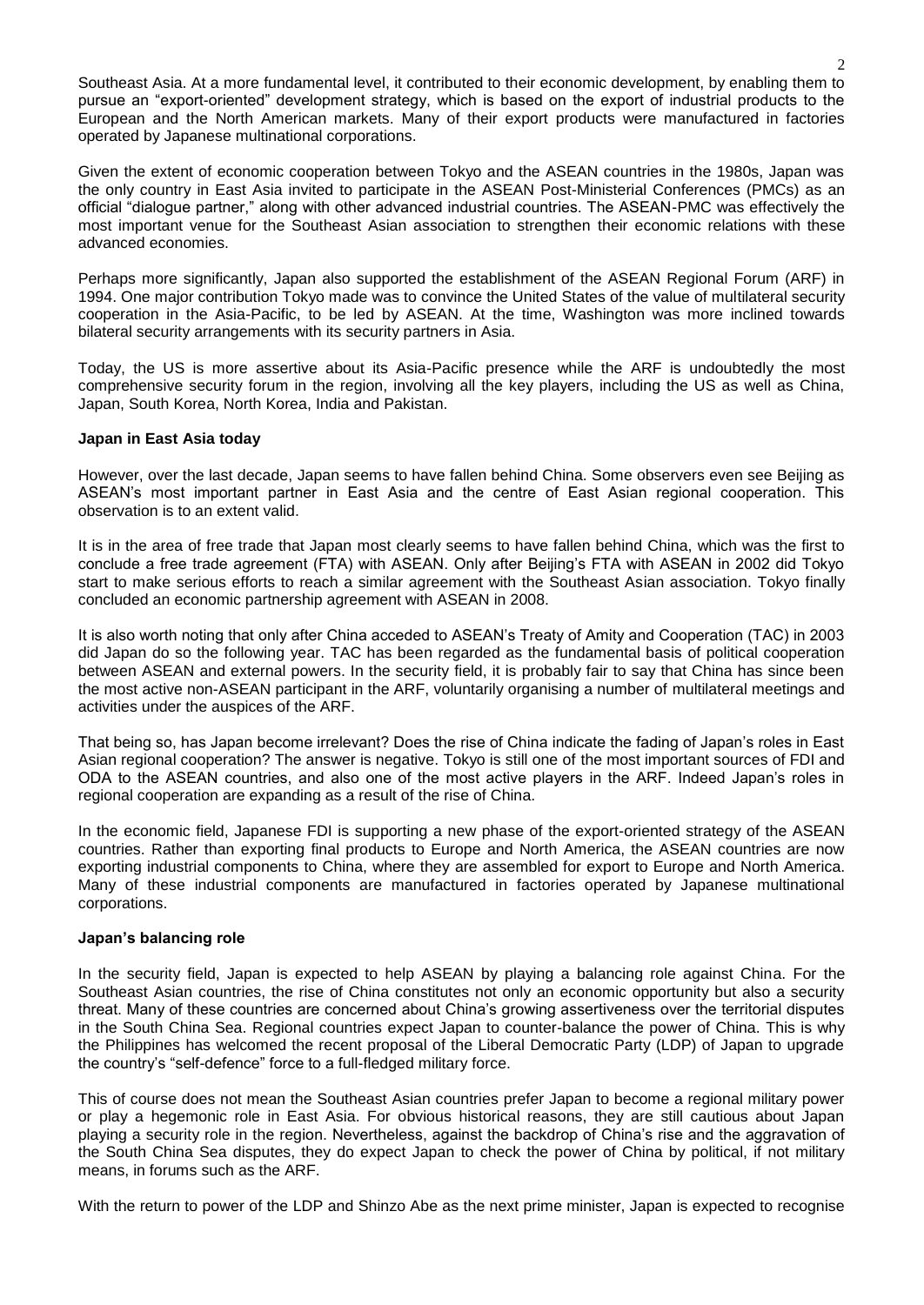Southeast Asia. At a more fundamental level, it contributed to their economic development, by enabling them to pursue an "export-oriented" development strategy, which is based on the export of industrial products to the European and the North American markets. Many of their export products were manufactured in factories operated by Japanese multinational corporations.

Given the extent of economic cooperation between Tokyo and the ASEAN countries in the 1980s, Japan was the only country in East Asia invited to participate in the ASEAN Post-Ministerial Conferences (PMCs) as an official "dialogue partner," along with other advanced industrial countries. The ASEAN-PMC was effectively the most important venue for the Southeast Asian association to strengthen their economic relations with these advanced economies.

Perhaps more significantly, Japan also supported the establishment of the ASEAN Regional Forum (ARF) in 1994. One major contribution Tokyo made was to convince the United States of the value of multilateral security cooperation in the Asia-Pacific, to be led by ASEAN. At the time, Washington was more inclined towards bilateral security arrangements with its security partners in Asia.

Today, the US is more assertive about its Asia-Pacific presence while the ARF is undoubtedly the most comprehensive security forum in the region, involving all the key players, including the US as well as China, Japan, South Korea, North Korea, India and Pakistan.

### **Japan in East Asia today**

However, over the last decade, Japan seems to have fallen behind China. Some observers even see Beijing as ASEAN's most important partner in East Asia and the centre of East Asian regional cooperation. This observation is to an extent valid.

It is in the area of free trade that Japan most clearly seems to have fallen behind China, which was the first to conclude a free trade agreement (FTA) with ASEAN. Only after Beijing's FTA with ASEAN in 2002 did Tokyo start to make serious efforts to reach a similar agreement with the Southeast Asian association. Tokyo finally concluded an economic partnership agreement with ASEAN in 2008.

It is also worth noting that only after China acceded to ASEAN's Treaty of Amity and Cooperation (TAC) in 2003 did Japan do so the following year. TAC has been regarded as the fundamental basis of political cooperation between ASEAN and external powers. In the security field, it is probably fair to say that China has since been the most active non-ASEAN participant in the ARF, voluntarily organising a number of multilateral meetings and activities under the auspices of the ARF.

That being so, has Japan become irrelevant? Does the rise of China indicate the fading of Japan's roles in East Asian regional cooperation? The answer is negative. Tokyo is still one of the most important sources of FDI and ODA to the ASEAN countries, and also one of the most active players in the ARF. Indeed Japan's roles in regional cooperation are expanding as a result of the rise of China.

In the economic field, Japanese FDI is supporting a new phase of the export-oriented strategy of the ASEAN countries. Rather than exporting final products to Europe and North America, the ASEAN countries are now exporting industrial components to China, where they are assembled for export to Europe and North America. Many of these industrial components are manufactured in factories operated by Japanese multinational corporations.

### **Japan's balancing role**

In the security field, Japan is expected to help ASEAN by playing a balancing role against China. For the Southeast Asian countries, the rise of China constitutes not only an economic opportunity but also a security threat. Many of these countries are concerned about China's growing assertiveness over the territorial disputes in the South China Sea. Regional countries expect Japan to counter-balance the power of China. This is why the Philippines has welcomed the recent proposal of the Liberal Democratic Party (LDP) of Japan to upgrade the country's "self-defence" force to a full-fledged military force.

This of course does not mean the Southeast Asian countries prefer Japan to become a regional military power or play a hegemonic role in East Asia. For obvious historical reasons, they are still cautious about Japan playing a security role in the region. Nevertheless, against the backdrop of China's rise and the aggravation of the South China Sea disputes, they do expect Japan to check the power of China by political, if not military means, in forums such as the ARF.

With the return to power of the LDP and Shinzo Abe as the next prime minister, Japan is expected to recognise